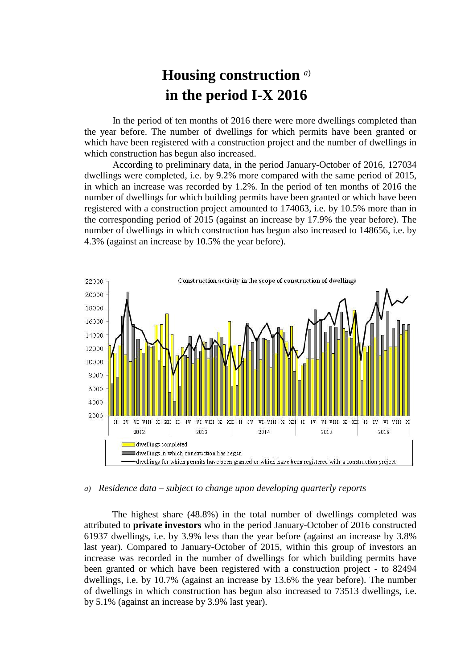## **Housing construction** *a*) **in the period I-X 2016**

In the period of ten months of 2016 there were more dwellings completed than the year before. The number of dwellings for which permits have been granted or which have been registered with a construction project and the number of dwellings in which construction has begun also increased.

According to preliminary data, in the period January-October of 2016, 127034 dwellings were completed, i.e. by 9.2% more compared with the same period of 2015, in which an increase was recorded by 1.2%. In the period of ten months of 2016 the number of dwellings for which building permits have been granted or which have been registered with a construction project amounted to 174063, i.e. by 10.5% more than in the corresponding period of 2015 (against an increase by 17.9% the year before). The number of dwellings in which construction has begun also increased to 148656, i.e. by 4.3% (against an increase by 10.5% the year before).



## *a) Residence data – subject to change upon developing quarterly reports*

The highest share (48.8%) in the total number of dwellings completed was attributed to **private investors** who in the period January-October of 2016 constructed 61937 dwellings, i.e. by 3.9% less than the year before (against an increase by 3.8% last year). Compared to January-October of 2015, within this group of investors an increase was recorded in the number of dwellings for which building permits have been granted or which have been registered with a construction project - to 82494 dwellings, i.e. by 10.7% (against an increase by 13.6% the year before). The number of dwellings in which construction has begun also increased to 73513 dwellings, i.e. by 5.1% (against an increase by 3.9% last year).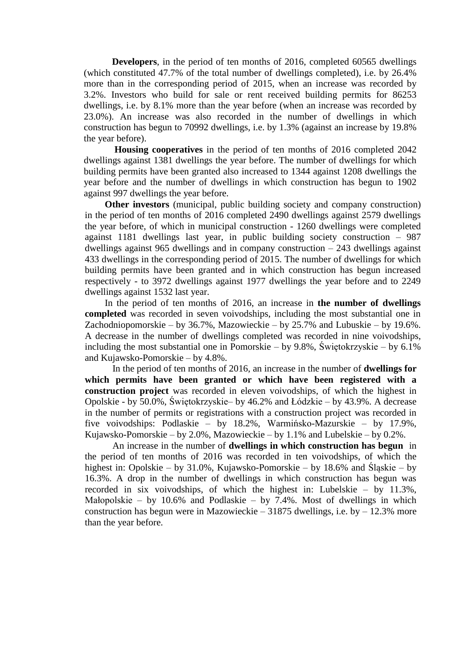**Developers**, in the period of ten months of 2016, completed 60565 dwellings (which constituted 47.7% of the total number of dwellings completed), i.e. by 26.4% more than in the corresponding period of 2015, when an increase was recorded by 3.2%. Investors who build for sale or rent received building permits for 86253 dwellings, i.e. by 8.1% more than the year before (when an increase was recorded by 23.0%). An increase was also recorded in the number of dwellings in which construction has begun to 70992 dwellings, i.e. by 1.3% (against an increase by 19.8% the year before).

**Housing cooperatives** in the period of ten months of 2016 completed 2042 dwellings against 1381 dwellings the year before. The number of dwellings for which building permits have been granted also increased to 1344 against 1208 dwellings the year before and the number of dwellings in which construction has begun to 1902 against 997 dwellings the year before.

**Other investors** (municipal, public building society and company construction) in the period of ten months of 2016 completed 2490 dwellings against 2579 dwellings the year before, of which in municipal construction - 1260 dwellings were completed against 1181 dwellings last year, in public building society construction – 987 dwellings against 965 dwellings and in company construction – 243 dwellings against 433 dwellings in the corresponding period of 2015. The number of dwellings for which building permits have been granted and in which construction has begun increased respectively - to 3972 dwellings against 1977 dwellings the year before and to 2249 dwellings against 1532 last year.

In the period of ten months of 2016, an increase in **the number of dwellings completed** was recorded in seven voivodships, including the most substantial one in Zachodniopomorskie – by 36.7%, Mazowieckie – by 25.7% and Lubuskie – by 19.6%. A decrease in the number of dwellings completed was recorded in nine voivodships, including the most substantial one in Pomorskie – by 9.8%, Świętokrzyskie – by 6.1% and Kujawsko-Pomorskie – by 4.8%.

In the period of ten months of 2016, an increase in the number of **dwellings for which permits have been granted or which have been registered with a construction project** was recorded in eleven voivodships, of which the highest in Opolskie - by 50.0%, Świętokrzyskie– by 46.2% and Łódzkie – by 43.9%. A decrease in the number of permits or registrations with a construction project was recorded in five voivodships: Podlaskie – by 18.2%, Warmińsko-Mazurskie – by 17.9%, Kujawsko-Pomorskie – by 2.0%, Mazowieckie – by 1.1% and Lubelskie – by 0.2%.

An increase in the number of **dwellings in which construction has begun** in the period of ten months of 2016 was recorded in ten voivodships, of which the highest in: Opolskie – by 31.0%, Kujawsko-Pomorskie – by 18.6% and Śląskie – by 16.3%. A drop in the number of dwellings in which construction has begun was recorded in six voivodships, of which the highest in: Lubelskie – by 11.3%, Małopolskie – by 10.6% and Podlaskie – by 7.4%. Most of dwellings in which construction has begun were in Mazowieckie – 31875 dwellings, i.e. by – 12.3% more than the year before.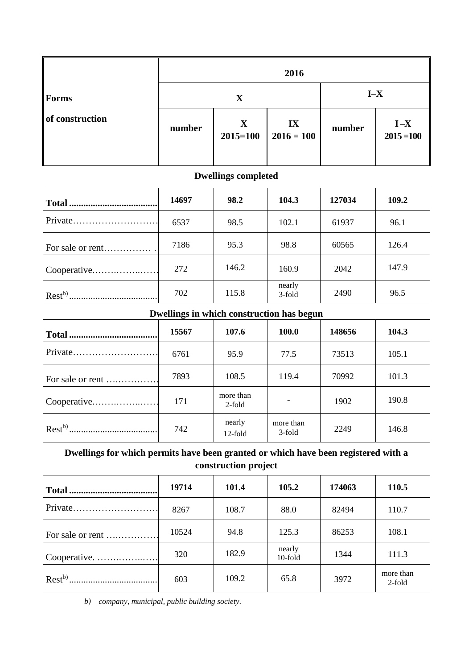|                                                                                                            | 2016        |                             |                     |        |                         |
|------------------------------------------------------------------------------------------------------------|-------------|-----------------------------|---------------------|--------|-------------------------|
| <b>Forms</b><br>of construction                                                                            | $\mathbf X$ |                             |                     | $I-X$  |                         |
|                                                                                                            | number      | $\mathbf X$<br>$2015 = 100$ | IX<br>$2016 = 100$  | number | $I - X$<br>$2015 = 100$ |
| <b>Dwellings completed</b>                                                                                 |             |                             |                     |        |                         |
|                                                                                                            | 14697       | 98.2                        | 104.3               | 127034 | 109.2                   |
| Private                                                                                                    | 6537        | 98.5                        | 102.1               | 61937  | 96.1                    |
| For sale or rent                                                                                           | 7186        | 95.3                        | 98.8                | 60565  | 126.4                   |
| Cooperative                                                                                                | 272         | 146.2                       | 160.9               | 2042   | 147.9                   |
|                                                                                                            | 702         | 115.8                       | nearly<br>3-fold    | 2490   | 96.5                    |
| Dwellings in which construction has begun                                                                  |             |                             |                     |        |                         |
|                                                                                                            | 15567       | 107.6                       | 100.0               | 148656 | 104.3                   |
| Private                                                                                                    | 6761        | 95.9                        | 77.5                | 73513  | 105.1                   |
| For sale or rent                                                                                           | 7893        | 108.5                       | 119.4               | 70992  | 101.3                   |
| Cooperative                                                                                                | 171         | more than<br>2-fold         |                     | 1902   | 190.8                   |
|                                                                                                            | 742         | nearly<br>12-fold           | more than<br>3-fold | 2249   | 146.8                   |
| Dwellings for which permits have been granted or which have been registered with a<br>construction project |             |                             |                     |        |                         |
|                                                                                                            | 19714       | 101.4                       | 105.2               | 174063 | 110.5                   |
| Private                                                                                                    | 8267        | 108.7                       | 88.0                | 82494  | 110.7                   |
| For sale or rent                                                                                           | 10524       | 94.8                        | 125.3               | 86253  | 108.1                   |
| Cooperative.                                                                                               | 320         | 182.9                       | nearly<br>10-fold   | 1344   | 111.3                   |
|                                                                                                            | 603         | 109.2                       | 65.8                | 3972   | more than<br>2-fold     |

*b) company, municipal, public building society.*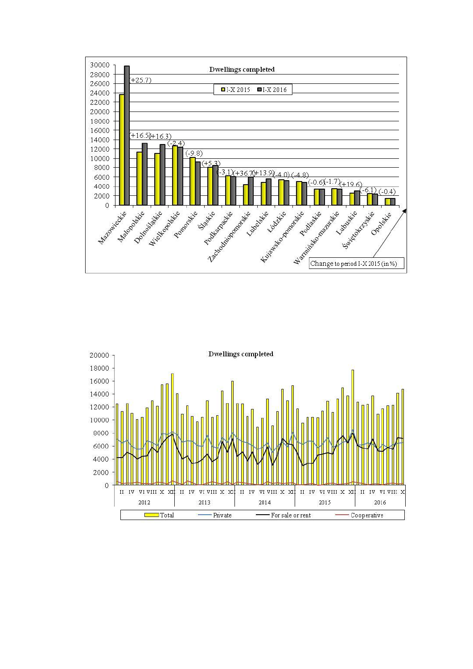